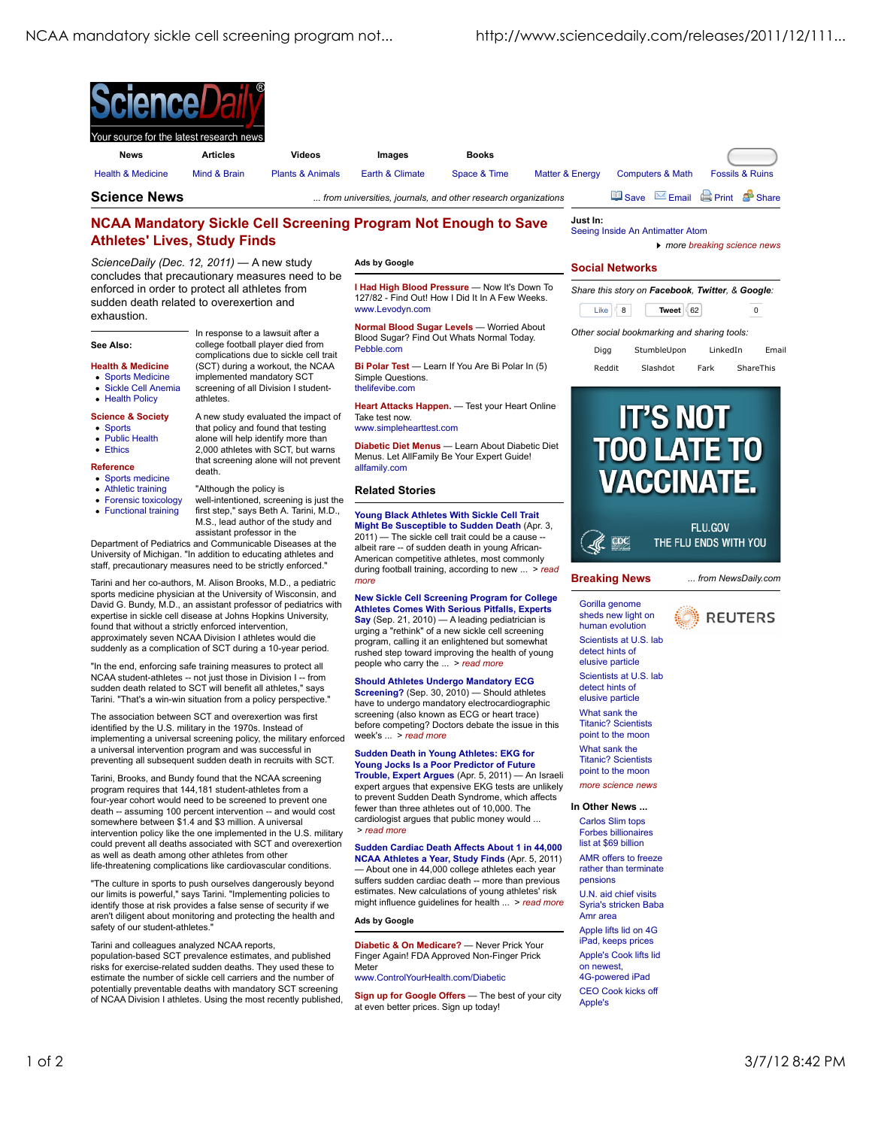

**I Had High Blood Pressure** — Now It's Down To 127/82 - Find Out! How I Did It In A Few Weeks.

**Normal Blood Sugar Levels** — Worried About Blood Sugar? Find Out Whats Normal Today.

**Bi Polar Test** — Learn If You Are Bi Polar In (5)

**Heart Attacks Happen.** — Test your Heart Online

**Diabetic Diet Menus** — Learn About Diabetic Diet Menus. Let AllFamily Be Your Expert Guide!

## **NCAA Mandatory Sickle Cell Screening Program Not Enough to Save Athletes' Lives, Study Finds**

*ScienceDaily (Dec. 12, 2011)* — A new study concludes that precautionary measures need to be enforced in order to protect all athletes from sudden death related to overexertion and exhaustion.

#### **See Also:**

**Health & Medicine**

- Sports Medicine
- Sickle Cell Anemia
- Health Policy
- **Science & Society**
- Sports
- Public Health
- Ethics
- **Reference**

• Sports medicine

- Athletic training
- Forensic toxicology
- Functional training

complications due to sickle cell trait (SCT) during a workout, the NCAA implemented mandatory SCT screening of all Division I student-

In response to a lawsuit after a college football player died from

A new study evaluated the impact of that policy and found that testing alone will help identify more than 2,000 athletes with SCT, but warns that screening alone will not prevent death.

first step," says Beth A. Tarini, M.D., M.S., lead author of the study and assistant professor in the

"Although the policy is

Department of Pediatrics and Communicable Diseases at the University of Michigan. "In addition to educating athletes and staff, precautionary measures need to be strictly enforced." Tarini and her co-authors, M. Alison Brooks, M.D., a pediatric sports medicine physician at the University of Wisconsin, and David G. Bundy, M.D., an assistant professor of pediatrics with expertise in sickle cell disease at Johns Hopkins University, found that without a strictly enforced intervention, approximately seven NCAA Division I athletes would die suddenly as a complication of SCT during a 10-year period. "In the end, enforcing safe training measures to protect all NCAA student-athletes -- not just those in Division I -- from sudden death related to SCT will benefit all athletes," says Tarini. "That's a win-win situation from a policy perspective." The association between SCT and overexertion was first identified by the U.S. military in the 1970s. Instead of implementing a universal screening policy, the military enforced a universal intervention program and was successful in preventing all subsequent sudden death in recruits with SCT. Tarini, Brooks, and Bundy found that the NCAA screening program requires that 144,181 student-athletes from a four-year cohort would need to be screened to prevent one death -- assuming 100 percent intervention -- and would cost somewhere between \$1.4 and \$3 million. A universal intervention policy like the one implemented in the U.S. military could prevent all deaths associated with SCT and overexertion

#### well-intentioned, screening is just the allfamily.com **Related Stories**

Take test now. www.simplehearttest.com

**Ads by Google**

www.Levodyn.com

Simple Questions. thelifevibe.com

Pebble.com

**Young Black Athletes With Sickle Cell Trait Might Be Susceptible to Sudden Death** (Apr. 3,  $2011$ ) — The sickle cell trait could be a cause albeit rare -- of sudden death in young African-American competitive athletes, most commonly during football training, according to new ... > *read more*

**New Sickle Cell Screening Program for College Athletes Comes With Serious Pitfalls, Experts Say** (Sep. 21, 2010) — A leading pediatrician is urging a "rethink" of a new sickle cell screening program, calling it an enlightened but somewhat rushed step toward improving the health of young people who carry the ... > *read more*

#### **Should Athletes Undergo Mandatory ECG**

**Screening?** (Sep. 30, 2010) — Should athletes have to undergo mandatory electrocardiographic screening (also known as ECG or heart trace) before competing? Doctors debate the issue in this week's ... > *read more*

#### **Sudden Death in Young Athletes: EKG for**

**Young Jocks Is a Poor Predictor of Future Trouble, Expert Argues** (Apr. 5, 2011) — An Israeli expert argues that expensive EKG tests are unlikely to prevent Sudden Death Syndrome, which affects fewer than three athletes out of 10,000. The cardiologist argues that public money would ... > *read more*

### **Sudden Cardiac Death Affects About 1 in 44,000 NCAA Athletes a Year, Study Finds** (Apr. 5, 2011)

— About one in 44,000 college athletes each year suffers sudden cardiac death -- more than previous estimates. New calculations of young athletes' risk might influence guidelines for health ... > *read more*

#### **Ads by Google**

**Diabetic & On Medicare?** — Never Prick Your Finger Again! FDA Approved Non-Finger Prick Meter

#### www.ControlYourHealth.com/Diabetic

**Sign up for Google Offers** — The best of your city at even better prices. Sign up today!

### **Social Networks**

Seeing Inside An Antimatter Atom

Like 8 **Tweet** 62 0 *Share this story on Facebook, Twitter, & Google:*

*more breaking science news*

#### *Other social bookmarking and sharing tools:*

Digg StumbleUpon LinkedIn Email Reddit Slashdot Fark ShareThis



# **Breaking News** Gorilla genome

*... from NewsDaily.com* **REUTERS** 

sheds new light on human evolution point to the moon

Carlos Slim tops Forbes billionaires list at \$69 billion AMR offers to freeze rather than terminate pensions U.N. aid chief visits Syria's stricken Baba Amr area Apple lifts lid on 4G iPad, keeps prices Apple's Cook lifts lid on newest, 4G-powered iPad CEO Cook kicks off Apple's

safety of our student-athletes."

Scientists at U.S. lab detect hints of elusive particle Scientists at U.S. lab detect hints of elusive particle What sank the Titanic? Scientists

What sank the Titanic? Scientists point to the moon

*more science news*

### **In Other News ...**

life-threatening complications like cardiovascular conditions. "The culture in sports to push ourselves dangerously beyond our limits is powerful," says Tarini. "Implementing policies to identify those at risk provides a false sense of security if we aren't diligent about monitoring and protecting the health and

## Tarini and colleagues analyzed NCAA reports,

as well as death among other athletes from other

population-based SCT prevalence estimates, and published risks for exercise-related sudden deaths. They used these to estimate the number of sickle cell carriers and the number of potentially preventable deaths with mandatory SCT screening of NCAA Division I athletes. Using the most recently published,

athletes.